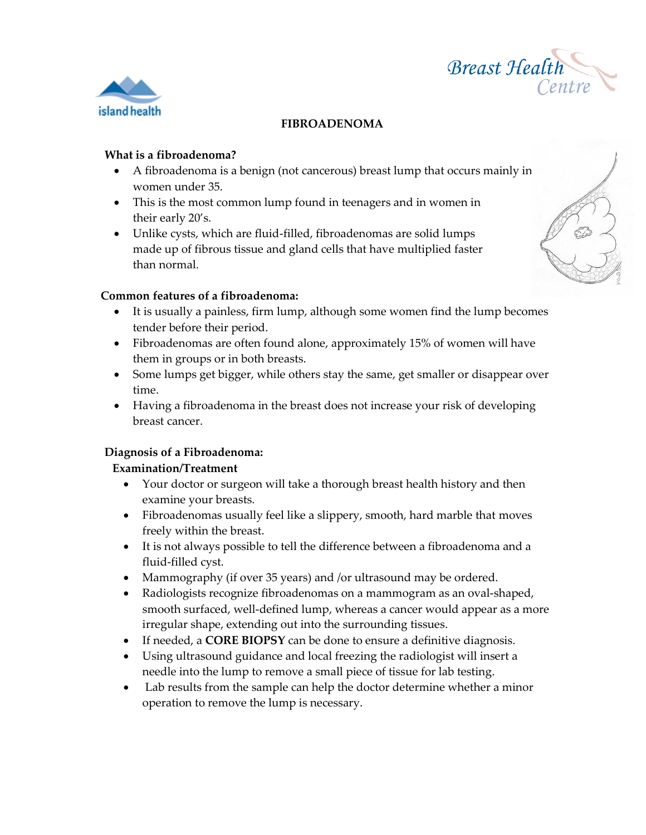



# **FIBROADENOMA**

#### **What is a fibroadenoma?**

- A fibroadenoma is a benign (not cancerous) breast lump that occurs mainly in women under 35.
- This is the most common lump found in teenagers and in women in their early 20's.
- Unlike cysts, which are fluid-filled, fibroadenomas are solid lumps made up of fibrous tissue and gland cells that have multiplied faster than normal.

# **Common features of a fibroadenoma:**

- It is usually a painless, firm lump, although some women find the lump becomes tender before their period.
- Fibroadenomas are often found alone, approximately 15% of women will have them in groups or in both breasts.
- Some lumps get bigger, while others stay the same, get smaller or disappear over time.
- Having a fibroadenoma in the breast does not increase your risk of developing breast cancer.

## **Diagnosis of a Fibroadenoma:**

## **Examination/Treatment**

- Your doctor or surgeon will take a thorough breast health history and then examine your breasts.
- Fibroadenomas usually feel like a slippery, smooth, hard marble that moves freely within the breast.
- It is not always possible to tell the difference between a fibroadenoma and a fluid-filled cyst.
- Mammography (if over 35 years) and /or ultrasound may be ordered.
- Radiologists recognize fibroadenomas on a mammogram as an oval-shaped, smooth surfaced, well-defined lump, whereas a cancer would appear as a more irregular shape, extending out into the surrounding tissues.
- If needed, a **CORE BIOPSY** can be done to ensure a definitive diagnosis.
- Using ultrasound guidance and local freezing the radiologist will insert a needle into the lump to remove a small piece of tissue for lab testing.
- Lab results from the sample can help the doctor determine whether a minor operation to remove the lump is necessary.